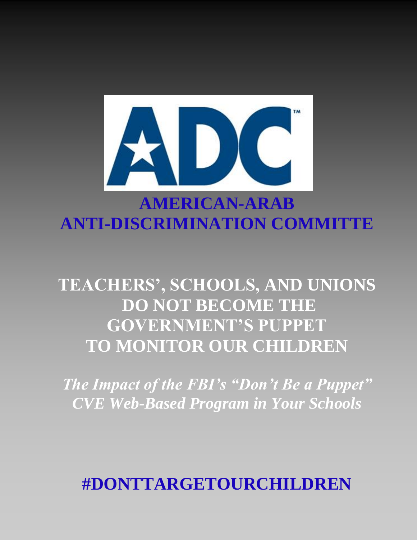

# **AMERICAN-ARAB ANTI-DISCRIMINATION COMMITTE**

# **TEACHERS', SCHOOLS, AND UNIONS DO NOT BECOME THE GOVERNMENT'S PUPPET TO MONITOR OUR CHILDREN**

*The Impact of the FBI's "Don't Be a Puppet" CVE Web-Based Program in Your Schools*

**#DONTTARGETOURCHILDREN**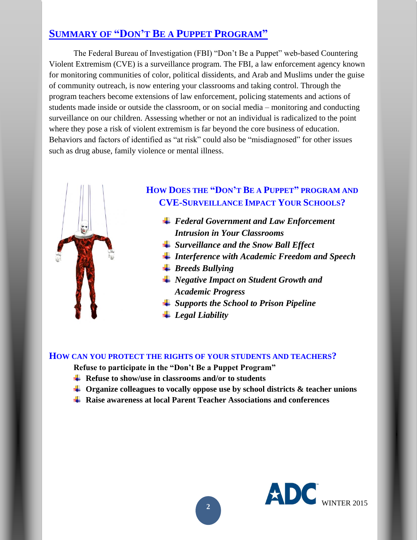## **SUMMARY OF "DON'T BE A PUPPET PROGRAM"**

The Federal Bureau of Investigation (FBI) "Don't Be a Puppet" web-based Countering Violent Extremism (CVE) is a surveillance program. The FBI, a law enforcement agency known for monitoring communities of color, political dissidents, and Arab and Muslims under the guise of community outreach, is now entering your classrooms and taking control. Through the program teachers become extensions of law enforcement, policing statements and actions of students made inside or outside the classroom, or on social media – monitoring and conducting surveillance on our children. Assessing whether or not an individual is radicalized to the point where they pose a risk of violent extremism is far beyond the core business of education. Behaviors and factors of identified as "at risk" could also be "misdiagnosed" for other issues such as drug abuse, family violence or mental illness.



### **HOW DOES THE "DON'T BE A PUPPET" PROGRAM AND CVE-SURVEILLANCE IMPACT YOUR SCHOOLS?**

- *Federal Government and Law Enforcement Intrusion in Your Classrooms*
- *Surveillance and the Snow Ball Effect*
- *Interference with Academic Freedom and Speech*
- *Breeds Bullying*
- *Negative Impact on Student Growth and Academic Progress*
- *Supports the School to Prison Pipeline*
- *Legal Liability*

#### **HOW CAN YOU PROTECT THE RIGHTS OF YOUR STUDENTS AND TEACHERS?**

**Refuse to participate in the "Don't Be a Puppet Program"**

- **A** Refuse to show/use in classrooms and/or to students
- **Organize colleagues to vocally oppose use by school districts & teacher unions**
- **Raise awareness at local Parent Teacher Associations and conferences**

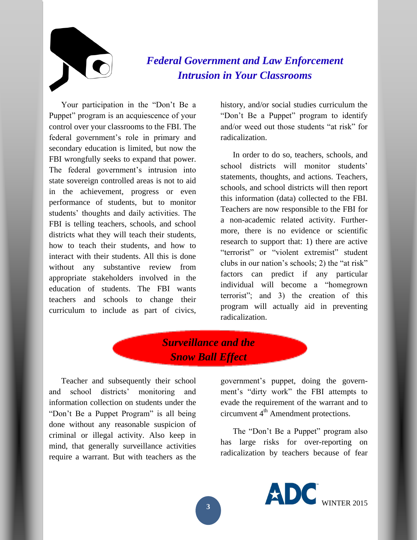

# *Federal Government and Law Enforcement Intrusion in Your Classrooms*

Your participation in the "Don't Be a Puppet" program is an acquiescence of your control over your classrooms to the FBI. The federal government's role in primary and secondary education is limited, but now the FBI wrongfully seeks to expand that power. The federal government's intrusion into state sovereign controlled areas is not to aid in the achievement, progress or even performance of students, but to monitor students' thoughts and daily activities. The FBI is telling teachers, schools, and school districts what they will teach their students, how to teach their students, and how to interact with their students. All this is done without any substantive review from appropriate stakeholders involved in the education of students. The FBI wants teachers and schools to change their curriculum to include as part of civics,

history, and/or social studies curriculum the "Don't Be a Puppet" program to identify and/or weed out those students "at risk" for radicalization.

In order to do so, teachers, schools, and school districts will monitor students' statements, thoughts, and actions. Teachers, schools, and school districts will then report this information (data) collected to the FBI. Teachers are now responsible to the FBI for a non-academic related activity. Furthermore, there is no evidence or scientific research to support that: 1) there are active "terrorist" or "violent extremist" student clubs in our nation's schools; 2) the "at risk" factors can predict if any particular individual will become a "homegrown terrorist"; and 3) the creation of this program will actually aid in preventing radicalization.

# *Surveillance and the Snow Ball Effect*

Teacher and subsequently their school and school districts' monitoring and information collection on students under the "Don't Be a Puppet Program" is all being done without any reasonable suspicion of criminal or illegal activity. Also keep in mind, that generally surveillance activities require a warrant. But with teachers as the

government's puppet, doing the government's "dirty work" the FBI attempts to evade the requirement of the warrant and to circumvent 4<sup>th</sup> Amendment protections.

The "Don't Be a Puppet" program also has large risks for over-reporting on radicalization by teachers because of fear

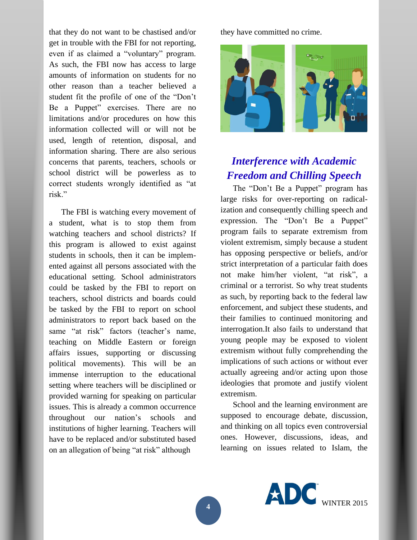that they do not want to be chastised and/or get in trouble with the FBI for not reporting, even if as claimed a "voluntary" program. As such, the FBI now has access to large amounts of information on students for no other reason than a teacher believed a student fit the profile of one of the "Don't Be a Puppet" exercises. There are no limitations and/or procedures on how this information collected will or will not be used, length of retention, disposal, and information sharing. There are also serious concerns that parents, teachers, schools or school district will be powerless as to correct students wrongly identified as "at risk."

The FBI is watching every movement of a student, what is to stop them from watching teachers and school districts? If this program is allowed to exist against students in schools, then it can be implemented against all persons associated with the educational setting. School administrators could be tasked by the FBI to report on teachers, school districts and boards could be tasked by the FBI to report on school administrators to report back based on the same "at risk" factors (teacher's name, teaching on Middle Eastern or foreign affairs issues, supporting or discussing political movements). This will be an immense interruption to the educational setting where teachers will be disciplined or provided warning for speaking on particular issues. This is already a common occurrence throughout our nation's schools and institutions of higher learning. Teachers will have to be replaced and/or substituted based on an allegation of being "at risk" although

they have committed no crime.



# *Interference with Academic Freedom and Chilling Speech*

The "Don't Be a Puppet" program has large risks for over-reporting on radicalization and consequently chilling speech and expression. The "Don't Be a Puppet" program fails to separate extremism from violent extremism, simply because a student has opposing perspective or beliefs, and/or strict interpretation of a particular faith does not make him/her violent, "at risk", a criminal or a terrorist. So why treat students as such, by reporting back to the federal law enforcement, and subject these students, and their families to continued monitoring and interrogation.It also fails to understand that young people may be exposed to violent extremism without fully comprehending the implications of such actions or without ever actually agreeing and/or acting upon those ideologies that promote and justify violent extremism.

School and the learning environment are supposed to encourage debate, discussion, and thinking on all topics even controversial ones. However, discussions, ideas, and learning on issues related to Islam, the

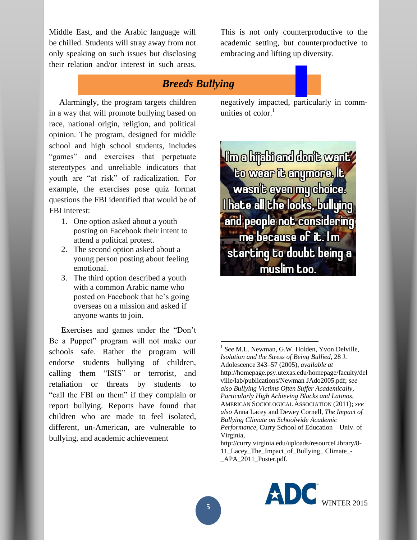Middle East, and the Arabic language will be chilled. Students will stray away from not only speaking on such issues but disclosing their relation and/or interest in such areas.

This is not only counterproductive to the academic setting, but counterproductive to embracing and lifting up diversity.

### *Breeds Bullying*

 Alarmingly, the program targets children in a way that will promote bullying based on race, national origin, religion, and political opinion. The program, designed for middle school and high school students, includes "games" and exercises that perpetuate stereotypes and unreliable indicators that youth are "at risk" of radicalization. For example, the exercises pose quiz format questions the FBI identified that would be of FBI interest:

- 1. One option asked about a youth posting on Facebook their intent to attend a political protest.
- 2. The second option asked about a young person posting about feeling emotional.
- 3. The third option described a youth with a common Arabic name who posted on Facebook that he's going overseas on a mission and asked if anyone wants to join.

Exercises and games under the "Don't Be a Puppet" program will not make our schools safe. Rather the program will endorse students bullying of children, calling them "ISIS" or terrorist, and retaliation or threats by students to "call the FBI on them" if they complain or report bullying. Reports have found that children who are made to feel isolated, different, un-American, are vulnerable to bullying, and academic achievement

negatively impacted, particularly in communities of color. 1

**Im a hijabi and don't want/** to wear it anymore. It wasn't even my choice. **Thate all the looks, bullying** and people not considering me because of it. I'm starting to doubt being a muslim too.

[http://curry.virginia.edu/uploads/resourceLibrary/8-](http://curry.virginia.edu/uploads/resourceLibrary/8-11_Lacey_The_Impact_of_Bullying_%20Climate_-_APA_2011_Poster.pdf) [11\\_Lacey\\_The\\_Impact\\_of\\_Bullying\\_ Climate\\_-](http://curry.virginia.edu/uploads/resourceLibrary/8-11_Lacey_The_Impact_of_Bullying_%20Climate_-_APA_2011_Poster.pdf) [\\_APA\\_2011\\_Poster.pdf.](http://curry.virginia.edu/uploads/resourceLibrary/8-11_Lacey_The_Impact_of_Bullying_%20Climate_-_APA_2011_Poster.pdf)



 $\overline{\phantom{a}}$ 

<sup>&</sup>lt;sup>1</sup> See M.L. Newman, G.W. Holden, Yvon Delville, *Isolation and the Stress of Being Bullied*, 28 J. Adolescence 343–57 (2005), *available at*  [http://homepage.psy.utexas.edu/homepage/faculty/del](http://homepage.psy.utexas.edu/homepage/faculty/delville/lab/publications/Newman%20JAdo2005.pdf) [ville/lab/publications/Newman JAdo2005.pdf;](http://homepage.psy.utexas.edu/homepage/faculty/delville/lab/publications/Newman%20JAdo2005.pdf) *see also Bullying Victims Often Suffer Academically, Particularly High Achieving Blacks and Latinos*, AMERICAN SOCIOLOGICAL ASSOCIATION (2011); *see also* Anna Lacey and Dewey Cornell, *The Impact of Bullying Climate on Schoolwide Academic Performance*, Curry School of Education – Univ. of Virginia,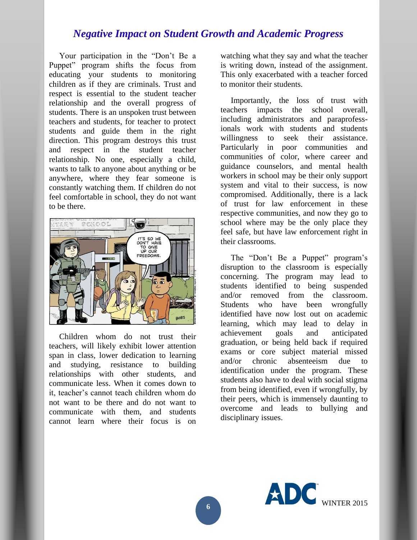#### *Negative Impact on Student Growth and Academic Progress*

 Your participation in the "Don't Be a Puppet" program shifts the focus from educating your students to monitoring children as if they are criminals. Trust and respect is essential to the student teacher relationship and the overall progress of students. There is an unspoken trust between teachers and students, for teacher to protect students and guide them in the right direction. This program destroys this trust and respect in the student teacher relationship. No one, especially a child, wants to talk to anyone about anything or be anywhere, where they fear someone is constantly watching them. If children do not feel comfortable in school, they do not want to be there.



 Children whom do not trust their teachers, will likely exhibit lower attention span in class, lower dedication to learning and studying, resistance to building relationships with other students, and communicate less. When it comes down to it, teacher's cannot teach children whom do not want to be there and do not want to communicate with them, and students cannot learn where their focus is on watching what they say and what the teacher is writing down, instead of the assignment. This only exacerbated with a teacher forced to monitor their students.

 Importantly, the loss of trust with teachers impacts the school overall, including administrators and paraprofessionals work with students and students willingness to seek their assistance. Particularly in poor communities and communities of color, where career and guidance counselors, and mental health workers in school may be their only support system and vital to their success, is now compromised. Additionally, there is a lack of trust for law enforcement in these respective communities, and now they go to school where may be the only place they feel safe, but have law enforcement right in their classrooms.

 The "Don't Be a Puppet" program's disruption to the classroom is especially concerning. The program may lead to students identified to being suspended and/or removed from the classroom. Students who have been wrongfully identified have now lost out on academic learning, which may lead to delay in achievement goals and anticipated graduation, or being held back if required exams or core subject material missed and/or chronic absenteeism due to identification under the program. These students also have to deal with social stigma from being identified, even if wrongfully, by their peers, which is immensely daunting to overcome and leads to bullying and disciplinary issues.